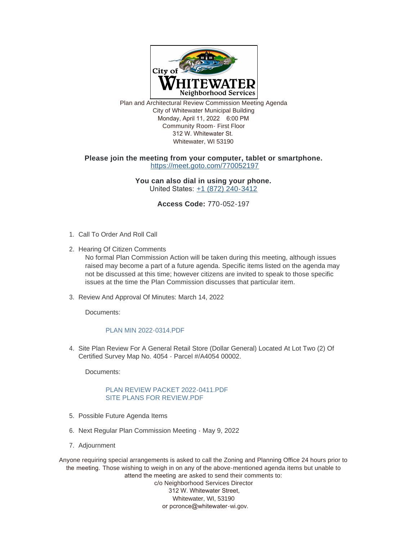

Plan and Architectural Review Commission Meeting Agenda City of Whitewater Municipal Building Monday, April 11, 2022 6:00 PM Community Room- First Floor 312 W. Whitewater St. Whitewater, WI 53190

## **Please join the meeting from your computer, tablet or smartphone.** <https://meet.goto.com/770052197>

**You can also dial in using your phone.** United States: [+1 \(872\) 240-3412](tel:+18722403412,,770052197)

**Access Code:** 770-052-197

- 1. Call To Order And Roll Call
- 2. Hearing Of Citizen Comments

No formal Plan Commission Action will be taken during this meeting, although issues raised may become a part of a future agenda. Specific items listed on the agenda may not be discussed at this time; however citizens are invited to speak to those specific issues at the time the Plan Commission discusses that particular item.

3. Review And Approval Of Minutes: March 14, 2022

Documents:

## [PLAN MIN 2022-0314.PDF](https://www.whitewater-wi.gov/AgendaCenter/ViewFile/Item/5623?fileID=26126)

4. Site Plan Review For A General Retail Store (Dollar General) Located At Lot Two (2) Of Certified Survey Map No. 4054 - Parcel #/A4054 00002.

Documents:

## [PLAN REVIEW PACKET 2022-0411.PDF](https://www.whitewater-wi.gov/AgendaCenter/ViewFile/Item/5612?fileID=26117) [SITE PLANS FOR REVIEW.PDF](https://www.whitewater-wi.gov/AgendaCenter/ViewFile/Item/5612?fileID=26118)

- 5. Possible Future Agenda Items
- 6. Next Regular Plan Commission Meeting May 9, 2022
- 7. Adjournment

Anyone requiring special arrangements is asked to call the Zoning and Planning Office 24 hours prior to the meeting. Those wishing to weigh in on any of the above-mentioned agenda items but unable to attend the meeting are asked to send their comments to: c/o Neighborhood Services Director 312 W. Whitewater Street, Whitewater, WI, 53190 or pcronce@whitewater-wi.gov.